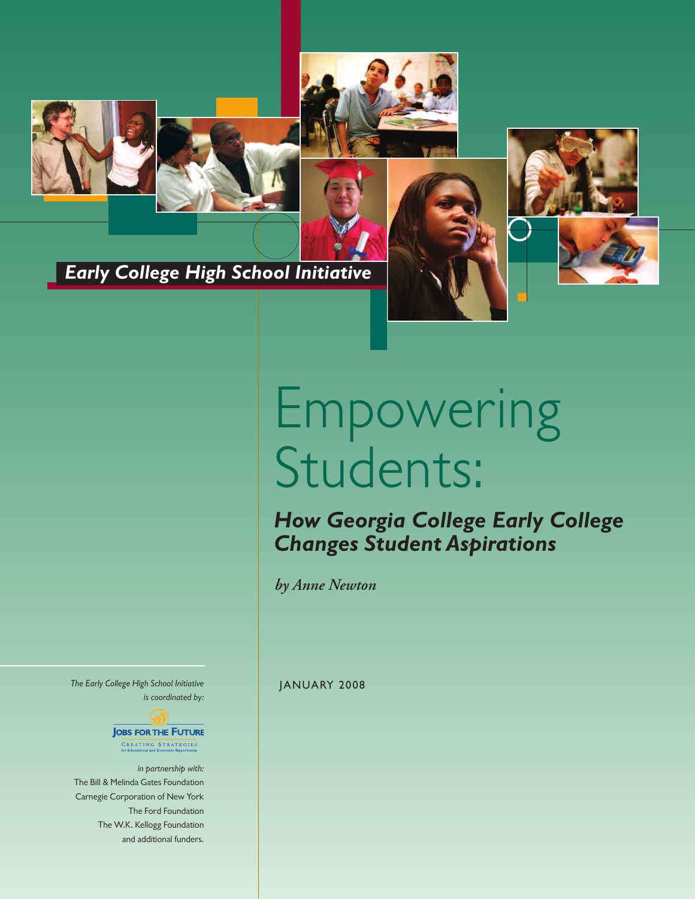





*Early College High School Initiative*

# Empowering Students:

*How Georgia College Early College Changes Student Aspirations*

*by Anne Newton*

*The Early College High School Initiative* JANUARY 2008 *is coordinated by:*



*in partnership with:* The Bill & Melinda Gates Foundation Carnegie Corporation of New York The Ford Foundation The W.K. Kellogg Foundation and additional funders.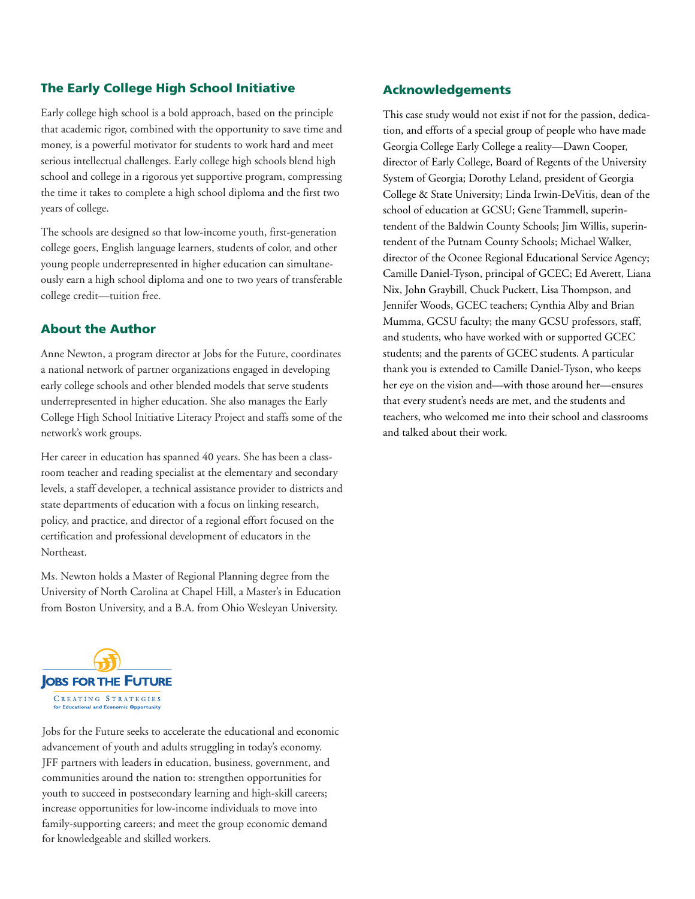#### **The Early College High School Initiative**

Early college high school is a bold approach, based on the principle that academic rigor, combined with the opportunity to save time and money, is a powerful motivator for students to work hard and meet serious intellectual challenges. Early college high schools blend high school and college in a rigorous yet supportive program, compressing the time it takes to complete a high school diploma and the first two years of college.

The schools are designed so that low-income youth, first-generation college goers, English language learners, students of color, and other young people underrepresented in higher education can simultaneously earn a high school diploma and one to two years of transferable college credit—tuition free.

#### **About the Author**

Anne Newton, a program director at Jobs for the Future, coordinates a national network of partner organizations engaged in developing early college schools and other blended models that serve students underrepresented in higher education. She also manages the Early College High School Initiative Literacy Project and staffs some of the network's work groups.

Her career in education has spanned 40 years. She has been a classroom teacher and reading specialist at the elementary and secondary levels, a staff developer, a technical assistance provider to districts and state departments of education with a focus on linking research, policy, and practice, and director of a regional effort focused on the certification and professional development of educators in the Northeast.

Ms. Newton holds a Master of Regional Planning degree from the University of North Carolina at Chapel Hill, a Master's in Education from Boston University, and a B.A. from Ohio Wesleyan University.



Jobs for the Future seeks to accelerate the educational and economic advancement of youth and adults struggling in today's economy. JFF partners with leaders in education, business, government, and communities around the nation to: strengthen opportunities for youth to succeed in postsecondary learning and high-skill careers; increase opportunities for low-income individuals to move into family-supporting careers; and meet the group economic demand for knowledgeable and skilled workers.

#### **Acknowledgements**

This case study would not exist if not for the passion, dedication, and efforts of a special group of people who have made Georgia College Early College a reality—Dawn Cooper, director of Early College, Board of Regents of the University System of Georgia; Dorothy Leland, president of Georgia College & State University; Linda Irwin-DeVitis, dean of the school of education at GCSU; Gene Trammell, superintendent of the Baldwin County Schools; Jim Willis, superintendent of the Putnam County Schools; Michael Walker, director of the Oconee Regional Educational Service Agency; Camille Daniel-Tyson, principal of GCEC; Ed Averett, Liana Nix, John Graybill, Chuck Puckett, Lisa Thompson, and Jennifer Woods, GCEC teachers; Cynthia Alby and Brian Mumma, GCSU faculty; the many GCSU professors, staff, and students, who have worked with or supported GCEC students; and the parents of GCEC students. A particular thank you is extended to Camille Daniel-Tyson, who keeps her eye on the vision and—with those around her—ensures that every student's needs are met, and the students and teachers, who welcomed me into their school and classrooms and talked about their work.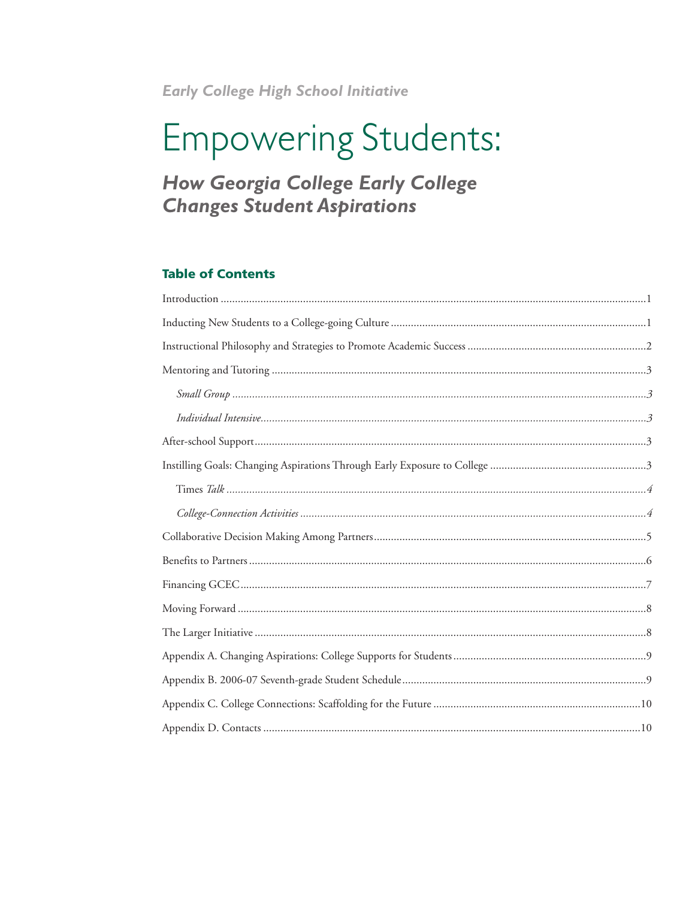**Early College High School Initiative** 

# **Empowering Students:**

# **How Georgia College Early College Changes Student Aspirations**

## **Table of Contents**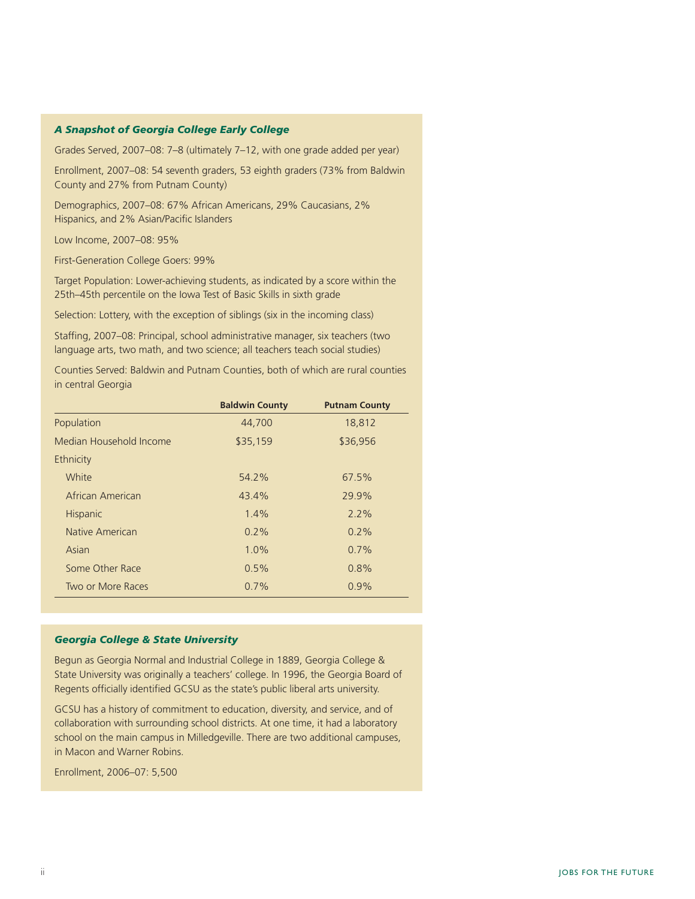#### *A Snapshot of Georgia College Early College*

Grades Served, 2007–08: 7–8 (ultimately 7–12, with one grade added per year)

Enrollment, 2007–08: 54 seventh graders, 53 eighth graders (73% from Baldwin County and 27% from Putnam County)

Demographics, 2007–08: 67% African Americans, 29% Caucasians, 2% Hispanics, and 2% Asian/Pacific Islanders

Low Income, 2007–08: 95%

First-Generation College Goers: 99%

Target Population: Lower-achieving students, as indicated by a score within the 25th–45th percentile on the Iowa Test of Basic Skills in sixth grade

Selection: Lottery, with the exception of siblings (six in the incoming class)

Staffing, 2007–08: Principal, school administrative manager, six teachers (two language arts, two math, and two science; all teachers teach social studies)

Counties Served: Baldwin and Putnam Counties, both of which are rural counties in central Georgia

|                         | <b>Baldwin County</b> | <b>Putnam County</b> |
|-------------------------|-----------------------|----------------------|
| Population              | 44,700                | 18,812               |
| Median Household Income | \$35,159              | \$36,956             |
| Ethnicity               |                       |                      |
| White                   | 54.2%                 | 67.5%                |
| African American        | 43.4%                 | 29.9%                |
| <b>Hispanic</b>         | $1.4\%$               | $2.2\%$              |
| Native American         | $0.2\%$               | $0.2\%$              |
| Asian                   | $1.0\%$               | 0.7%                 |
| Some Other Race         | 0.5%                  | 0.8%                 |
| Two or More Races       | 0.7%                  | 0.9%                 |
|                         |                       |                      |

#### *Georgia College & State University*

Begun as Georgia Normal and Industrial College in 1889, Georgia College & State University was originally a teachers' college. In 1996, the Georgia Board of Regents officially identified GCSU as the state's public liberal arts university.

GCSU has a history of commitment to education, diversity, and service, and of collaboration with surrounding school districts. At one time, it had a laboratory school on the main campus in Milledgeville. There are two additional campuses, in Macon and Warner Robins.

Enrollment, 2006–07: 5,500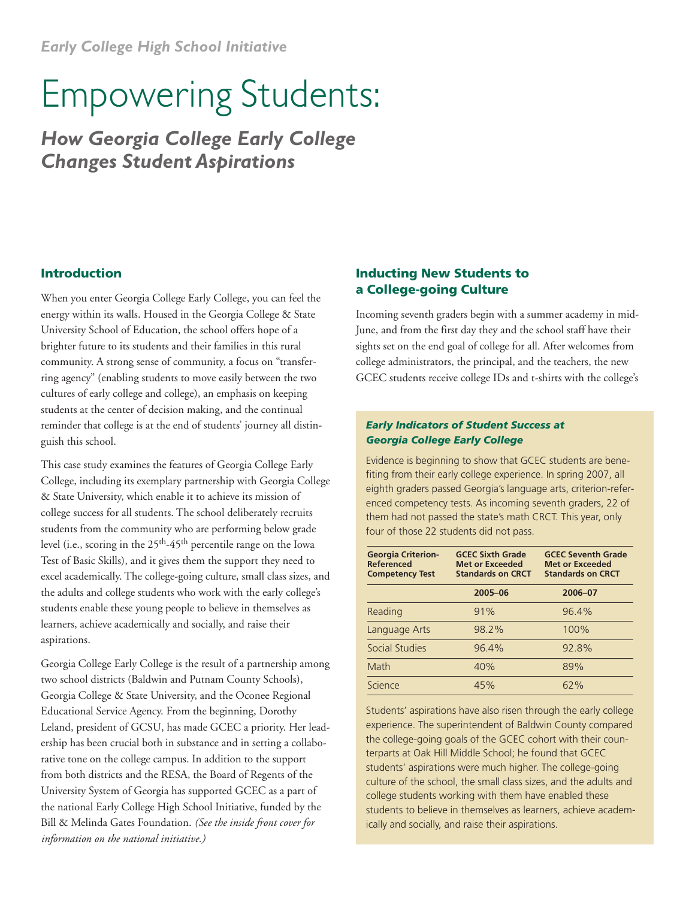# Empowering Students:

*How Georgia College Early College Changes Student Aspirations*

#### **Introduction**

When you enter Georgia College Early College, you can feel the energy within its walls. Housed in the Georgia College & State University School of Education, the school offers hope of a brighter future to its students and their families in this rural community. A strong sense of community, a focus on "transferring agency" (enabling students to move easily between the two cultures of early college and college), an emphasis on keeping students at the center of decision making, and the continual reminder that college is at the end of students' journey all distinguish this school.

This case study examines the features of Georgia College Early College, including its exemplary partnership with Georgia College & State University, which enable it to achieve its mission of college success for all students. The school deliberately recruits students from the community who are performing below grade level (i.e., scoring in the  $25<sup>th</sup>-45<sup>th</sup>$  percentile range on the Iowa Test of Basic Skills), and it gives them the support they need to excel academically. The college-going culture, small class sizes, and the adults and college students who work with the early college's students enable these young people to believe in themselves as learners, achieve academically and socially, and raise their aspirations.

Georgia College Early College is the result of a partnership among two school districts (Baldwin and Putnam County Schools), Georgia College & State University, and the Oconee Regional Educational Service Agency. From the beginning, Dorothy Leland, president of GCSU, has made GCEC a priority. Her leadership has been crucial both in substance and in setting a collaborative tone on the college campus. In addition to the support from both districts and the RESA, the Board of Regents of the University System of Georgia has supported GCEC as a part of the national Early College High School Initiative, funded by the Bill & Melinda Gates Foundation. *(See the inside front cover for information on the national initiative.)*

### **Inducting New Students to a College-going Culture**

Incoming seventh graders begin with a summer academy in mid-June, and from the first day they and the school staff have their sights set on the end goal of college for all. After welcomes from college administrators, the principal, and the teachers, the new GCEC students receive college IDs and t-shirts with the college's

#### *Early Indicators of Student Success at Georgia College Early College*

Evidence is beginning to show that GCEC students are benefiting from their early college experience. In spring 2007, all eighth graders passed Georgia's language arts, criterion-referenced competency tests. As incoming seventh graders, 22 of them had not passed the state's math CRCT. This year, only four of those 22 students did not pass.

| <b>Georgia Criterion-</b><br><b>Referenced</b><br><b>Competency Test</b> | <b>GCEC Sixth Grade</b><br><b>Met or Exceeded</b><br><b>Standards on CRCT</b> | <b>GCEC Seventh Grade</b><br><b>Met or Exceeded</b><br><b>Standards on CRCT</b> |
|--------------------------------------------------------------------------|-------------------------------------------------------------------------------|---------------------------------------------------------------------------------|
|                                                                          | 2005-06                                                                       | 2006-07                                                                         |
| Reading                                                                  | 91%                                                                           | 96.4%                                                                           |
| Language Arts                                                            | 98.2%                                                                         | 100%                                                                            |
| Social Studies                                                           | 96.4%                                                                         | 92.8%                                                                           |
| Math                                                                     | 40%                                                                           | 89%                                                                             |
| Science                                                                  | 45%                                                                           | 62%                                                                             |

Students' aspirations have also risen through the early college experience. The superintendent of Baldwin County compared the college-going goals of the GCEC cohort with their counterparts at Oak Hill Middle School; he found that GCEC students' aspirations were much higher. The college-going culture of the school, the small class sizes, and the adults and college students working with them have enabled these students to believe in themselves as learners, achieve academically and socially, and raise their aspirations.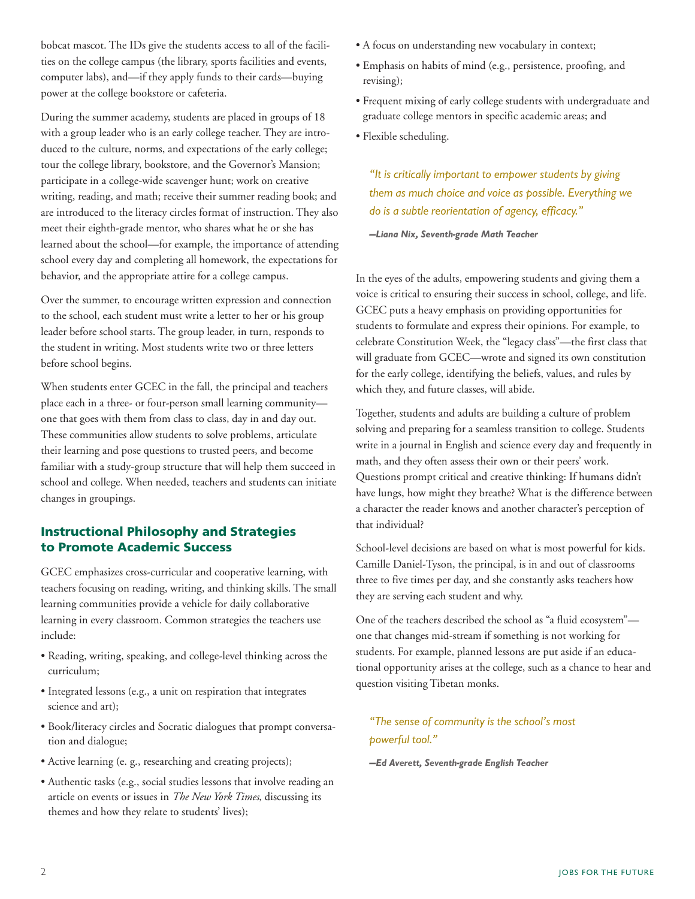bobcat mascot. The IDs give the students access to all of the facilities on the college campus (the library, sports facilities and events, computer labs), and—if they apply funds to their cards—buying power at the college bookstore or cafeteria.

During the summer academy, students are placed in groups of 18 with a group leader who is an early college teacher. They are introduced to the culture, norms, and expectations of the early college; tour the college library, bookstore, and the Governor's Mansion; participate in a college-wide scavenger hunt; work on creative writing, reading, and math; receive their summer reading book; and are introduced to the literacy circles format of instruction. They also meet their eighth-grade mentor, who shares what he or she has learned about the school—for example, the importance of attending school every day and completing all homework, the expectations for behavior, and the appropriate attire for a college campus.

Over the summer, to encourage written expression and connection to the school, each student must write a letter to her or his group leader before school starts. The group leader, in turn, responds to the student in writing. Most students write two or three letters before school begins.

When students enter GCEC in the fall, the principal and teachers place each in a three- or four-person small learning community one that goes with them from class to class, day in and day out. These communities allow students to solve problems, articulate their learning and pose questions to trusted peers, and become familiar with a study-group structure that will help them succeed in school and college. When needed, teachers and students can initiate changes in groupings.

#### **Instructional Philosophy and Strategies to Promote Academic Success**

GCEC emphasizes cross-curricular and cooperative learning, with teachers focusing on reading, writing, and thinking skills. The small learning communities provide a vehicle for daily collaborative learning in every classroom. Common strategies the teachers use include:

- Reading, writing, speaking, and college-level thinking across the curriculum;
- Integrated lessons (e.g., a unit on respiration that integrates science and art);
- Book/literacy circles and Socratic dialogues that prompt conversation and dialogue;
- Active learning (e. g., researching and creating projects);
- Authentic tasks (e.g., social studies lessons that involve reading an article on events or issues in *The New York Times*, discussing its themes and how they relate to students' lives);
- A focus on understanding new vocabulary in context;
- Emphasis on habits of mind (e.g., persistence, proofing, and revising);
- Frequent mixing of early college students with undergraduate and graduate college mentors in specific academic areas; and
- Flexible scheduling.

*"It is critically important to empower students by giving them as much choice and voice as possible. Everything we do is a subtle reorientation of agency, efficacy."*

**—Liana Nix, Seventh-grade Math Teacher**

In the eyes of the adults, empowering students and giving them a voice is critical to ensuring their success in school, college, and life. GCEC puts a heavy emphasis on providing opportunities for students to formulate and express their opinions. For example, to celebrate Constitution Week, the "legacy class"—the first class that will graduate from GCEC—wrote and signed its own constitution for the early college, identifying the beliefs, values, and rules by which they, and future classes, will abide.

Together, students and adults are building a culture of problem solving and preparing for a seamless transition to college. Students write in a journal in English and science every day and frequently in math, and they often assess their own or their peers' work. Questions prompt critical and creative thinking: If humans didn't have lungs, how might they breathe? What is the difference between a character the reader knows and another character's perception of that individual?

School-level decisions are based on what is most powerful for kids. Camille Daniel-Tyson, the principal, is in and out of classrooms three to five times per day, and she constantly asks teachers how they are serving each student and why.

One of the teachers described the school as "a fluid ecosystem" one that changes mid-stream if something is not working for students. For example, planned lessons are put aside if an educational opportunity arises at the college, such as a chance to hear and question visiting Tibetan monks.

# *"The sense of community is the school's most powerful tool."*

**—Ed Averett, Seventh-grade English Teacher**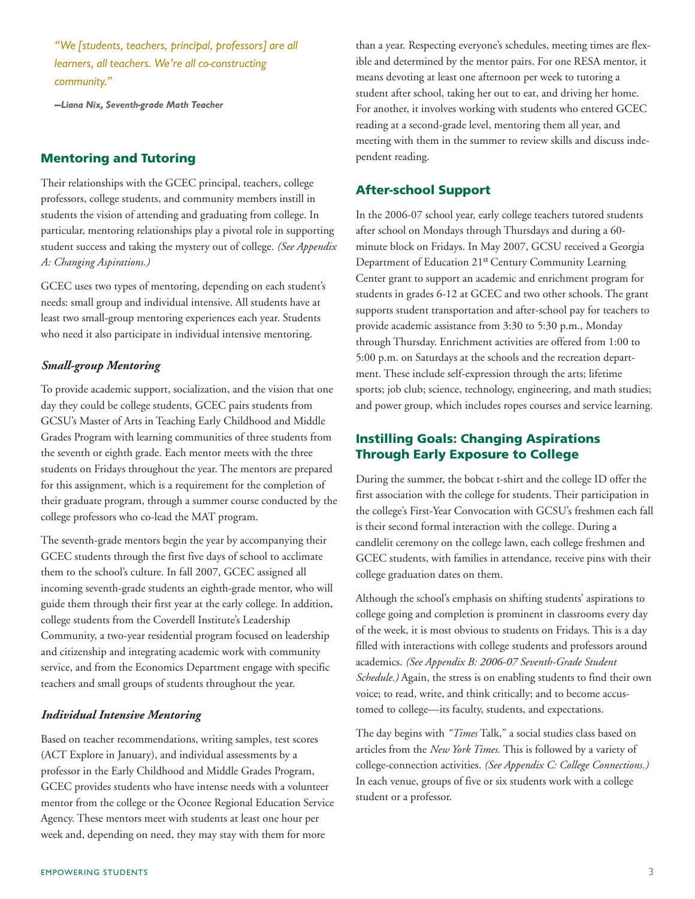*"We [students, teachers, principal, professors] are all learners, all teachers. We're all co-constructing community."*

**—Liana Nix, Seventh-grade Math Teacher**

#### **Mentoring and Tutoring**

Their relationships with the GCEC principal, teachers, college professors, college students, and community members instill in students the vision of attending and graduating from college. In particular, mentoring relationships play a pivotal role in supporting student success and taking the mystery out of college. *(See Appendix A: Changing Aspirations.)*

GCEC uses two types of mentoring, depending on each student's needs: small group and individual intensive. All students have at least two small-group mentoring experiences each year. Students who need it also participate in individual intensive mentoring.

#### *Small-group Mentoring*

To provide academic support, socialization, and the vision that one day they could be college students, GCEC pairs students from GCSU's Master of Arts in Teaching Early Childhood and Middle Grades Program with learning communities of three students from the seventh or eighth grade. Each mentor meets with the three students on Fridays throughout the year. The mentors are prepared for this assignment, which is a requirement for the completion of their graduate program, through a summer course conducted by the college professors who co-lead the MAT program.

The seventh-grade mentors begin the year by accompanying their GCEC students through the first five days of school to acclimate them to the school's culture. In fall 2007, GCEC assigned all incoming seventh-grade students an eighth-grade mentor, who will guide them through their first year at the early college. In addition, college students from the Coverdell Institute's Leadership Community, a two-year residential program focused on leadership and citizenship and integrating academic work with community service, and from the Economics Department engage with specific teachers and small groups of students throughout the year.

#### *Individual Intensive Mentoring*

Based on teacher recommendations, writing samples, test scores (ACT Explore in January), and individual assessments by a professor in the Early Childhood and Middle Grades Program, GCEC provides students who have intense needs with a volunteer mentor from the college or the Oconee Regional Education Service Agency. These mentors meet with students at least one hour per week and, depending on need, they may stay with them for more

than a year. Respecting everyone's schedules, meeting times are flexible and determined by the mentor pairs. For one RESA mentor, it means devoting at least one afternoon per week to tutoring a student after school, taking her out to eat, and driving her home. For another, it involves working with students who entered GCEC reading at a second-grade level, mentoring them all year, and meeting with them in the summer to review skills and discuss independent reading.

#### **After-school Support**

In the 2006-07 school year, early college teachers tutored students after school on Mondays through Thursdays and during a 60 minute block on Fridays. In May 2007, GCSU received a Georgia Department of Education 21st Century Community Learning Center grant to support an academic and enrichment program for students in grades 6-12 at GCEC and two other schools. The grant supports student transportation and after-school pay for teachers to provide academic assistance from 3:30 to 5:30 p.m., Monday through Thursday. Enrichment activities are offered from 1:00 to 5:00 p.m. on Saturdays at the schools and the recreation department. These include self-expression through the arts; lifetime sports; job club; science, technology, engineering, and math studies; and power group, which includes ropes courses and service learning.

#### **Instilling Goals: Changing Aspirations Through Early Exposure to College**

During the summer, the bobcat t-shirt and the college ID offer the first association with the college for students. Their participation in the college's First-Year Convocation with GCSU's freshmen each fall is their second formal interaction with the college. During a candlelit ceremony on the college lawn, each college freshmen and GCEC students, with families in attendance, receive pins with their college graduation dates on them.

Although the school's emphasis on shifting students' aspirations to college going and completion is prominent in classrooms every day of the week, it is most obvious to students on Fridays. This is a day filled with interactions with college students and professors around academics. *(See Appendix B: 2006-07 Seventh-Grade Student Schedule.)* Again, the stress is on enabling students to find their own voice; to read, write, and think critically; and to become accustomed to college—its faculty, students, and expectations.

The day begins with *"Times* Talk," a social studies class based on articles from the *New York Times.* This is followed by a variety of college-connection activities. *(See Appendix C: College Connections.)* In each venue, groups of five or six students work with a college student or a professor.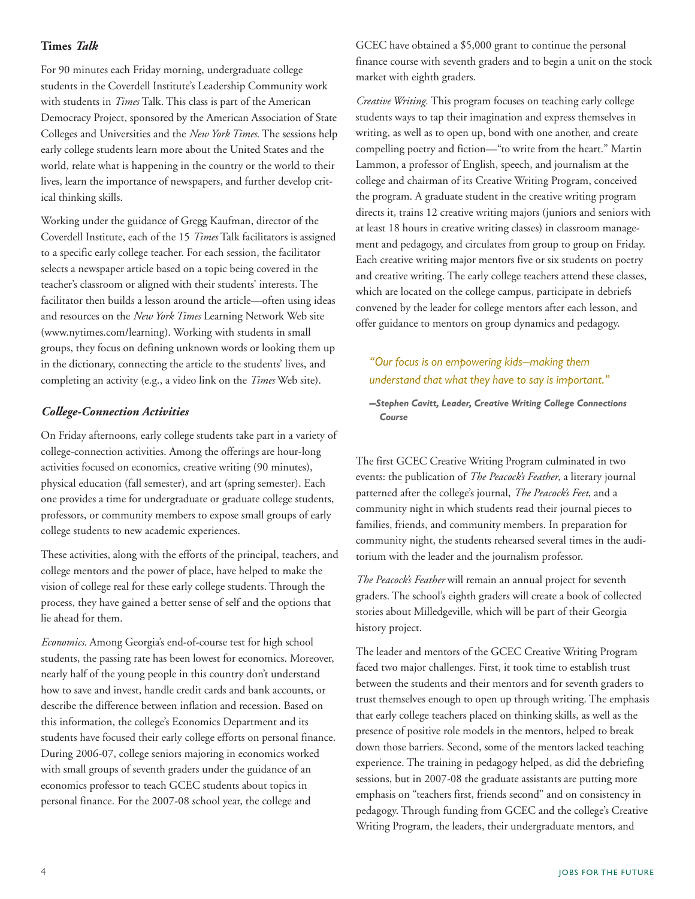#### **Times** *Talk*

For 90 minutes each Friday morning, undergraduate college students in the Coverdell Institute's Leadership Community work with students in *Times* Talk. This class is part of the American Democracy Project, sponsored by the American Association of State Colleges and Universities and the *New York Times*. The sessions help early college students learn more about the United States and the world, relate what is happening in the country or the world to their lives, learn the importance of newspapers, and further develop critical thinking skills.

Working under the guidance of Gregg Kaufman, director of the Coverdell Institute, each of the 15 *Times* Talk facilitators is assigned to a specific early college teacher. For each session, the facilitator selects a newspaper article based on a topic being covered in the teacher's classroom or aligned with their students' interests. The facilitator then builds a lesson around the article—often using ideas and resources on the *New York Times* Learning Network Web site (www.nytimes.com/learning). Working with students in small groups, they focus on defining unknown words or looking them up in the dictionary, connecting the article to the students' lives, and completing an activity (e.g., a video link on the *Times* Web site).

#### *College-Connection Activities*

On Friday afternoons, early college students take part in a variety of college-connection activities. Among the offerings are hour-long activities focused on economics, creative writing (90 minutes), physical education (fall semester), and art (spring semester). Each one provides a time for undergraduate or graduate college students, professors, or community members to expose small groups of early college students to new academic experiences.

These activities, along with the efforts of the principal, teachers, and college mentors and the power of place, have helped to make the vision of college real for these early college students. Through the process, they have gained a better sense of self and the options that lie ahead for them.

*Economics.* Among Georgia's end-of-course test for high school students, the passing rate has been lowest for economics. Moreover, nearly half of the young people in this country don't understand how to save and invest, handle credit cards and bank accounts, or describe the difference between inflation and recession. Based on this information, the college's Economics Department and its students have focused their early college efforts on personal finance. During 2006-07, college seniors majoring in economics worked with small groups of seventh graders under the guidance of an economics professor to teach GCEC students about topics in personal finance. For the 2007-08 school year, the college and

GCEC have obtained a \$5,000 grant to continue the personal finance course with seventh graders and to begin a unit on the stock market with eighth graders.

*Creative Writing.* This program focuses on teaching early college students ways to tap their imagination and express themselves in writing, as well as to open up, bond with one another, and create compelling poetry and fiction—"to write from the heart." Martin Lammon, a professor of English, speech, and journalism at the college and chairman of its Creative Writing Program, conceived the program. A graduate student in the creative writing program directs it, trains 12 creative writing majors (juniors and seniors with at least 18 hours in creative writing classes) in classroom management and pedagogy, and circulates from group to group on Friday. Each creative writing major mentors five or six students on poetry and creative writing. The early college teachers attend these classes, which are located on the college campus, participate in debriefs convened by the leader for college mentors after each lesson, and offer guidance to mentors on group dynamics and pedagogy.

# *"Our focus is on empowering kids—making them understand that what they have to say is important."*

**—Stephen Cavitt, Leader, Creative Writing College Connections Course**

The first GCEC Creative Writing Program culminated in two events: the publication of *The Peacock's Feather*, a literary journal patterned after the college's journal, *The Peacock's Feet*, and a community night in which students read their journal pieces to families, friends, and community members. In preparation for community night, the students rehearsed several times in the auditorium with the leader and the journalism professor.

*The Peacock's Feather* will remain an annual project for seventh graders. The school's eighth graders will create a book of collected stories about Milledgeville, which will be part of their Georgia history project.

The leader and mentors of the GCEC Creative Writing Program faced two major challenges. First, it took time to establish trust between the students and their mentors and for seventh graders to trust themselves enough to open up through writing. The emphasis that early college teachers placed on thinking skills, as well as the presence of positive role models in the mentors, helped to break down those barriers. Second, some of the mentors lacked teaching experience. The training in pedagogy helped, as did the debriefing sessions, but in 2007-08 the graduate assistants are putting more emphasis on "teachers first, friends second" and on consistency in pedagogy. Through funding from GCEC and the college's Creative Writing Program, the leaders, their undergraduate mentors, and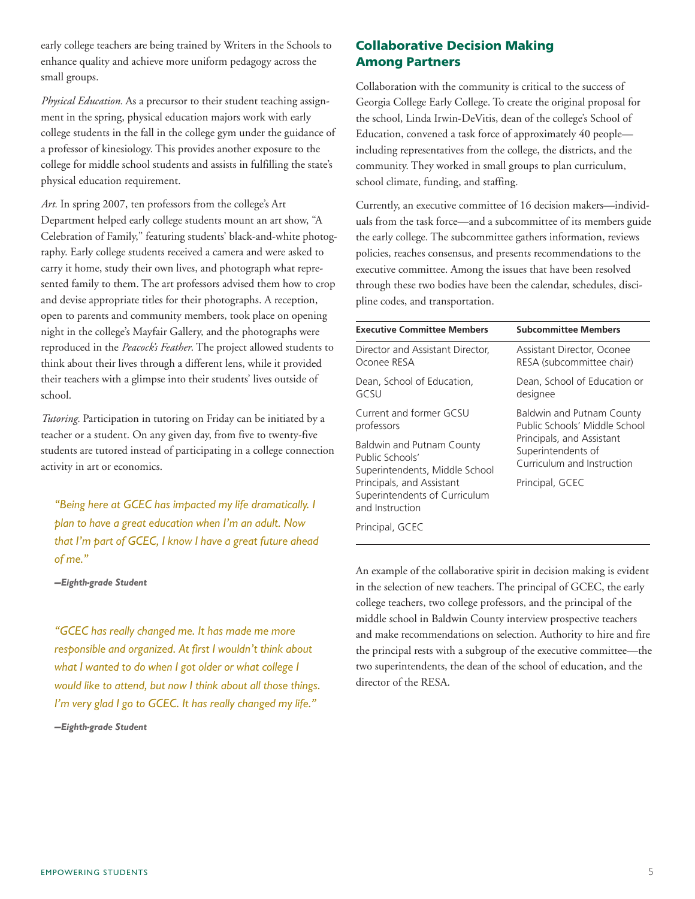early college teachers are being trained by Writers in the Schools to enhance quality and achieve more uniform pedagogy across the small groups.

*Physical Education.* As a precursor to their student teaching assignment in the spring, physical education majors work with early college students in the fall in the college gym under the guidance of a professor of kinesiology. This provides another exposure to the college for middle school students and assists in fulfilling the state's physical education requirement.

*Art.* In spring 2007, ten professors from the college's Art Department helped early college students mount an art show, "A Celebration of Family," featuring students' black-and-white photography. Early college students received a camera and were asked to carry it home, study their own lives, and photograph what represented family to them. The art professors advised them how to crop and devise appropriate titles for their photographs. A reception, open to parents and community members, took place on opening night in the college's Mayfair Gallery, and the photographs were reproduced in the *Peacock's Feather*. The project allowed students to think about their lives through a different lens, while it provided their teachers with a glimpse into their students' lives outside of school.

*Tutoring.* Participation in tutoring on Friday can be initiated by a teacher or a student. On any given day, from five to twenty-five students are tutored instead of participating in a college connection activity in art or economics.

*"Being here at GCEC has impacted my life dramatically. I plan to have a great education when I'm an adult. Now that I'm part of GCEC, I know I have a great future ahead of me."*

**—Eighth-grade Student**

*"GCEC has really changed me. It has made me more responsible and organized. At first I wouldn't think about what I wanted to do when I got older or what college I would like to attend, but now I think about all those things. I'm very glad I go to GCEC. It has really changed my life."*

**—Eighth-grade Student**

#### **Collaborative Decision Making Among Partners**

Collaboration with the community is critical to the success of Georgia College Early College. To create the original proposal for the school, Linda Irwin-DeVitis, dean of the college's School of Education, convened a task force of approximately 40 people including representatives from the college, the districts, and the community. They worked in small groups to plan curriculum, school climate, funding, and staffing.

Currently, an executive committee of 16 decision makers—individuals from the task force—and a subcommittee of its members guide the early college. The subcommittee gathers information, reviews policies, reaches consensus, and presents recommendations to the executive committee. Among the issues that have been resolved through these two bodies have been the calendar, schedules, discipline codes, and transportation.

| <b>Executive Committee Members</b>                                            | <b>Subcommittee Members</b>   |  |
|-------------------------------------------------------------------------------|-------------------------------|--|
| Director and Assistant Director,                                              | Assistant Director, Oconee    |  |
| Oconee RESA                                                                   | RESA (subcommittee chair)     |  |
| Dean, School of Education,                                                    | Dean, School of Education or  |  |
| GCSU                                                                          | designee                      |  |
| Current and former GCSU                                                       | Baldwin and Putnam County     |  |
| professors                                                                    | Public Schools' Middle School |  |
| Baldwin and Putnam County                                                     | Principals, and Assistant     |  |
| Public Schools'                                                               | Superintendents of            |  |
| Superintendents, Middle School                                                | Curriculum and Instruction    |  |
| Principals, and Assistant<br>Superintendents of Curriculum<br>and Instruction | Principal, GCEC               |  |
| Principal, GCEC                                                               |                               |  |

An example of the collaborative spirit in decision making is evident in the selection of new teachers. The principal of GCEC, the early college teachers, two college professors, and the principal of the middle school in Baldwin County interview prospective teachers and make recommendations on selection. Authority to hire and fire the principal rests with a subgroup of the executive committee—the two superintendents, the dean of the school of education, and the director of the RESA.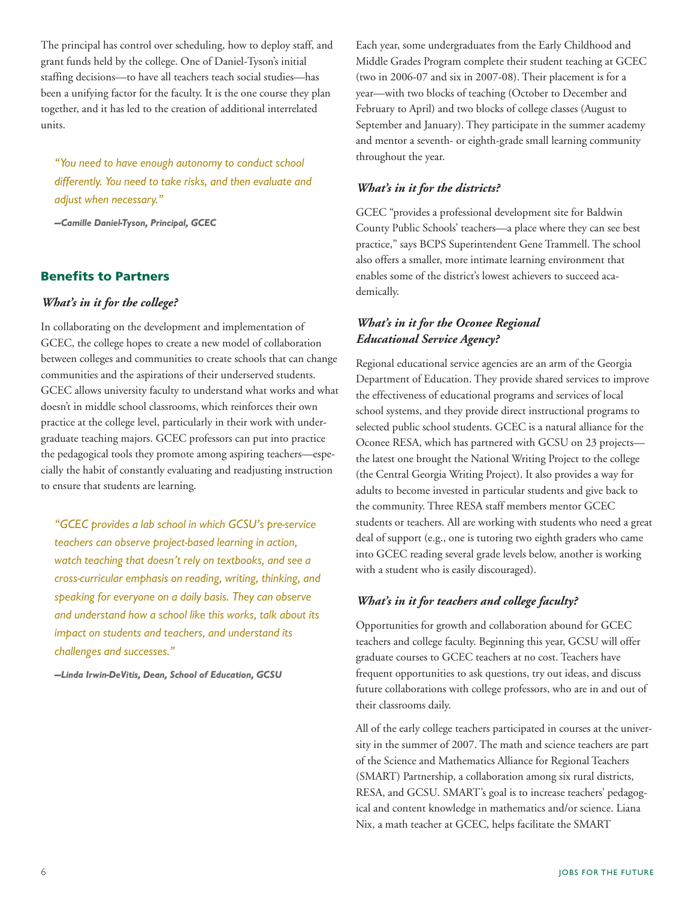The principal has control over scheduling, how to deploy staff, and grant funds held by the college. One of Daniel-Tyson's initial staffing decisions—to have all teachers teach social studies—has been a unifying factor for the faculty. It is the one course they plan together, and it has led to the creation of additional interrelated units.

*"You need to have enough autonomy to conduct school differently. You need to take risks, and then evaluate and adjust when necessary."*

**—Camille Daniel-Tyson, Principal, GCEC**

#### **Benefits to Partners**

#### *What's in it for the college?*

In collaborating on the development and implementation of GCEC, the college hopes to create a new model of collaboration between colleges and communities to create schools that can change communities and the aspirations of their underserved students. GCEC allows university faculty to understand what works and what doesn't in middle school classrooms, which reinforces their own practice at the college level, particularly in their work with undergraduate teaching majors. GCEC professors can put into practice the pedagogical tools they promote among aspiring teachers—especially the habit of constantly evaluating and readjusting instruction to ensure that students are learning.

*"GCEC provides a lab school in which GCSU's pre-service teachers can observe project-based learning in action, watch teaching that doesn't rely on textbooks, and see a cross-curricular emphasis on reading, writing, thinking, and speaking for everyone on a daily basis. They can observe and understand how a school like this works, talk about its impact on students and teachers, and understand its challenges and successes."*

**—Linda Irwin-DeVitis, Dean, School of Education, GCSU**

Each year, some undergraduates from the Early Childhood and Middle Grades Program complete their student teaching at GCEC (two in 2006-07 and six in 2007-08). Their placement is for a year—with two blocks of teaching (October to December and February to April) and two blocks of college classes (August to September and January). They participate in the summer academy and mentor a seventh- or eighth-grade small learning community throughout the year.

#### *What's in it for the districts?*

GCEC "provides a professional development site for Baldwin County Public Schools' teachers—a place where they can see best practice," says BCPS Superintendent Gene Trammell. The school also offers a smaller, more intimate learning environment that enables some of the district's lowest achievers to succeed academically.

#### *What's in it for the Oconee Regional Educational Service Agency?*

Regional educational service agencies are an arm of the Georgia Department of Education. They provide shared services to improve the effectiveness of educational programs and services of local school systems, and they provide direct instructional programs to selected public school students. GCEC is a natural alliance for the Oconee RESA, which has partnered with GCSU on 23 projects the latest one brought the National Writing Project to the college (the Central Georgia Writing Project). It also provides a way for adults to become invested in particular students and give back to the community. Three RESA staff members mentor GCEC students or teachers. All are working with students who need a great deal of support (e.g., one is tutoring two eighth graders who came into GCEC reading several grade levels below, another is working with a student who is easily discouraged).

#### *What's in it for teachers and college faculty?*

Opportunities for growth and collaboration abound for GCEC teachers and college faculty. Beginning this year, GCSU will offer graduate courses to GCEC teachers at no cost. Teachers have frequent opportunities to ask questions, try out ideas, and discuss future collaborations with college professors, who are in and out of their classrooms daily.

All of the early college teachers participated in courses at the university in the summer of 2007. The math and science teachers are part of the Science and Mathematics Alliance for Regional Teachers (SMART) Partnership, a collaboration among six rural districts, RESA, and GCSU. SMART's goal is to increase teachers' pedagogical and content knowledge in mathematics and/or science. Liana Nix, a math teacher at GCEC, helps facilitate the SMART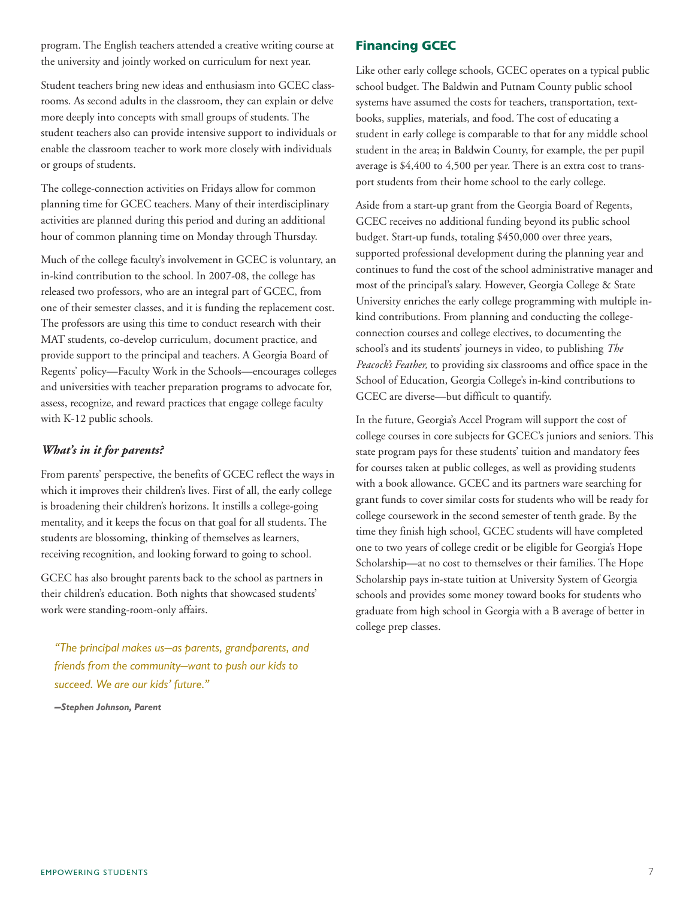program. The English teachers attended a creative writing course at the university and jointly worked on curriculum for next year.

Student teachers bring new ideas and enthusiasm into GCEC classrooms. As second adults in the classroom, they can explain or delve more deeply into concepts with small groups of students. The student teachers also can provide intensive support to individuals or enable the classroom teacher to work more closely with individuals or groups of students.

The college-connection activities on Fridays allow for common planning time for GCEC teachers. Many of their interdisciplinary activities are planned during this period and during an additional hour of common planning time on Monday through Thursday.

Much of the college faculty's involvement in GCEC is voluntary, an in-kind contribution to the school. In 2007-08, the college has released two professors, who are an integral part of GCEC, from one of their semester classes, and it is funding the replacement cost. The professors are using this time to conduct research with their MAT students, co-develop curriculum, document practice, and provide support to the principal and teachers. A Georgia Board of Regents' policy—Faculty Work in the Schools—encourages colleges and universities with teacher preparation programs to advocate for, assess, recognize, and reward practices that engage college faculty with K-12 public schools.

#### *What's in it for parents?*

From parents' perspective, the benefits of GCEC reflect the ways in which it improves their children's lives*.* First of all, the early college is broadening their children's horizons. It instills a college-going mentality, and it keeps the focus on that goal for all students. The students are blossoming, thinking of themselves as learners, receiving recognition, and looking forward to going to school.

GCEC has also brought parents back to the school as partners in their children's education. Both nights that showcased students' work were standing-room-only affairs.

*"The principal makes us—as parents, grandparents, and friends from the community—want to push our kids to succeed. We are our kids' future."*

**—Stephen Johnson, Parent**

#### **Financing GCEC**

Like other early college schools, GCEC operates on a typical public school budget. The Baldwin and Putnam County public school systems have assumed the costs for teachers, transportation, textbooks, supplies, materials, and food. The cost of educating a student in early college is comparable to that for any middle school student in the area; in Baldwin County, for example, the per pupil average is \$4,400 to 4,500 per year. There is an extra cost to transport students from their home school to the early college.

Aside from a start-up grant from the Georgia Board of Regents, GCEC receives no additional funding beyond its public school budget. Start-up funds, totaling \$450,000 over three years, supported professional development during the planning year and continues to fund the cost of the school administrative manager and most of the principal's salary. However, Georgia College & State University enriches the early college programming with multiple inkind contributions. From planning and conducting the collegeconnection courses and college electives, to documenting the school's and its students' journeys in video, to publishing *The Peacock's Feather,* to providing six classrooms and office space in the School of Education, Georgia College's in-kind contributions to GCEC are diverse—but difficult to quantify.

In the future, Georgia's Accel Program will support the cost of college courses in core subjects for GCEC's juniors and seniors. This state program pays for these students' tuition and mandatory fees for courses taken at public colleges, as well as providing students with a book allowance. GCEC and its partners ware searching for grant funds to cover similar costs for students who will be ready for college coursework in the second semester of tenth grade. By the time they finish high school, GCEC students will have completed one to two years of college credit or be eligible for Georgia's Hope Scholarship—at no cost to themselves or their families. The Hope Scholarship pays in-state tuition at University System of Georgia schools and provides some money toward books for students who graduate from high school in Georgia with a B average of better in college prep classes.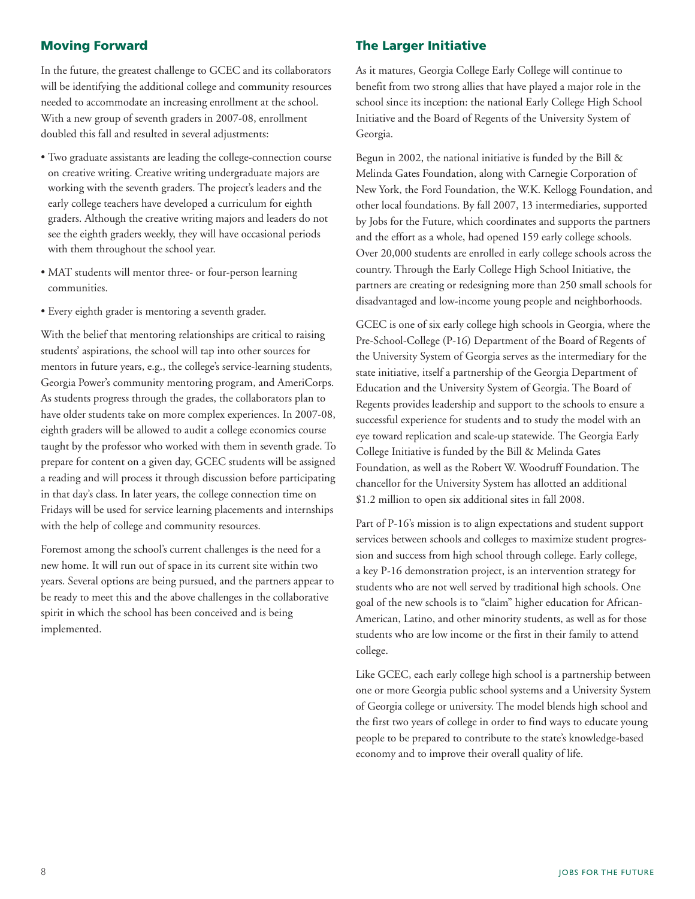#### **Moving Forward**

In the future, the greatest challenge to GCEC and its collaborators will be identifying the additional college and community resources needed to accommodate an increasing enrollment at the school. With a new group of seventh graders in 2007-08, enrollment doubled this fall and resulted in several adjustments:

- Two graduate assistants are leading the college-connection course on creative writing. Creative writing undergraduate majors are working with the seventh graders. The project's leaders and the early college teachers have developed a curriculum for eighth graders. Although the creative writing majors and leaders do not see the eighth graders weekly, they will have occasional periods with them throughout the school year.
- MAT students will mentor three- or four-person learning communities.
- Every eighth grader is mentoring a seventh grader.

With the belief that mentoring relationships are critical to raising students' aspirations, the school will tap into other sources for mentors in future years, e.g., the college's service-learning students, Georgia Power's community mentoring program, and AmeriCorps. As students progress through the grades, the collaborators plan to have older students take on more complex experiences. In 2007-08, eighth graders will be allowed to audit a college economics course taught by the professor who worked with them in seventh grade. To prepare for content on a given day, GCEC students will be assigned a reading and will process it through discussion before participating in that day's class. In later years, the college connection time on Fridays will be used for service learning placements and internships with the help of college and community resources.

Foremost among the school's current challenges is the need for a new home. It will run out of space in its current site within two years. Several options are being pursued, and the partners appear to be ready to meet this and the above challenges in the collaborative spirit in which the school has been conceived and is being implemented.

#### **The Larger Initiative**

As it matures, Georgia College Early College will continue to benefit from two strong allies that have played a major role in the school since its inception: the national Early College High School Initiative and the Board of Regents of the University System of Georgia.

Begun in 2002, the national initiative is funded by the Bill  $\&$ Melinda Gates Foundation, along with Carnegie Corporation of New York, the Ford Foundation, the W.K. Kellogg Foundation, and other local foundations. By fall 2007, 13 intermediaries, supported by Jobs for the Future, which coordinates and supports the partners and the effort as a whole, had opened 159 early college schools. Over 20,000 students are enrolled in early college schools across the country. Through the Early College High School Initiative, the partners are creating or redesigning more than 250 small schools for disadvantaged and low-income young people and neighborhoods.

GCEC is one of six early college high schools in Georgia, where the Pre-School-College (P-16) Department of the Board of Regents of the University System of Georgia serves as the intermediary for the state initiative, itself a partnership of the Georgia Department of Education and the University System of Georgia. The Board of Regents provides leadership and support to the schools to ensure a successful experience for students and to study the model with an eye toward replication and scale-up statewide. The Georgia Early College Initiative is funded by the Bill & Melinda Gates Foundation, as well as the Robert W. Woodruff Foundation. The chancellor for the University System has allotted an additional \$1.2 million to open six additional sites in fall 2008.

Part of P-16's mission is to align expectations and student support services between schools and colleges to maximize student progression and success from high school through college. Early college, a key P-16 demonstration project, is an intervention strategy for students who are not well served by traditional high schools. One goal of the new schools is to "claim" higher education for African-American, Latino, and other minority students, as well as for those students who are low income or the first in their family to attend college.

Like GCEC, each early college high school is a partnership between one or more Georgia public school systems and a University System of Georgia college or university. The model blends high school and the first two years of college in order to find ways to educate young people to be prepared to contribute to the state's knowledge-based economy and to improve their overall quality of life.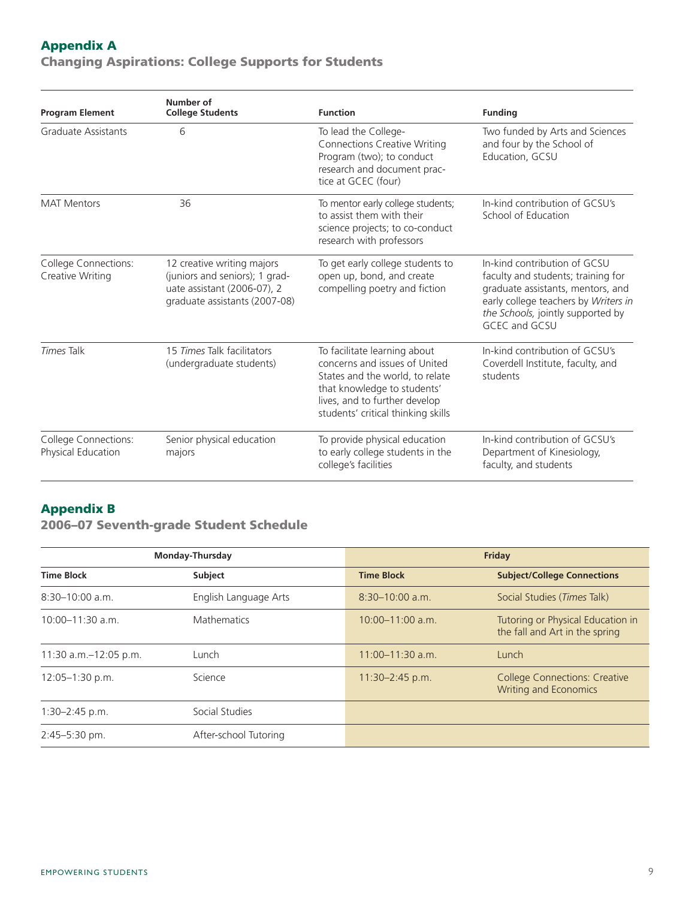# **Appendix A**

# **Changing Aspirations: College Supports for Students**

| <b>Program Element</b>                            | Number of<br><b>College Students</b>                                                                                         | <b>Function</b>                                                                                                                                                                                        | <b>Funding</b>                                                                                                                                                                                        |
|---------------------------------------------------|------------------------------------------------------------------------------------------------------------------------------|--------------------------------------------------------------------------------------------------------------------------------------------------------------------------------------------------------|-------------------------------------------------------------------------------------------------------------------------------------------------------------------------------------------------------|
| Graduate Assistants                               | 6                                                                                                                            | To lead the College-<br><b>Connections Creative Writing</b><br>Program (two); to conduct<br>research and document prac-<br>tice at GCEC (four)                                                         | Two funded by Arts and Sciences<br>and four by the School of<br>Education, GCSU                                                                                                                       |
| <b>MAT Mentors</b>                                | 36                                                                                                                           | To mentor early college students;<br>to assist them with their<br>science projects; to co-conduct<br>research with professors                                                                          | In-kind contribution of GCSU's<br>School of Education                                                                                                                                                 |
| College Connections:<br>Creative Writing          | 12 creative writing majors<br>(juniors and seniors); 1 grad-<br>uate assistant (2006-07), 2<br>graduate assistants (2007-08) | To get early college students to<br>open up, bond, and create<br>compelling poetry and fiction                                                                                                         | In-kind contribution of GCSU<br>faculty and students; training for<br>graduate assistants, mentors, and<br>early college teachers by Writers in<br>the Schools, jointly supported by<br>GCEC and GCSU |
| Times Talk                                        | 15 Times Talk facilitators<br>(undergraduate students)                                                                       | To facilitate learning about<br>concerns and issues of United<br>States and the world, to relate<br>that knowledge to students'<br>lives, and to further develop<br>students' critical thinking skills | In-kind contribution of GCSU's<br>Coverdell Institute, faculty, and<br>students                                                                                                                       |
| <b>College Connections:</b><br>Physical Education | Senior physical education<br>majors                                                                                          | To provide physical education<br>to early college students in the<br>college's facilities                                                                                                              | In-kind contribution of GCSU's<br>Department of Kinesiology,<br>faculty, and students                                                                                                                 |

# **Appendix B**

# **2006–07 Seventh-grade Student Schedule**

| <b>Monday-Thursday</b>   |                       |                      | Friday                                                               |  |
|--------------------------|-----------------------|----------------------|----------------------------------------------------------------------|--|
| <b>Time Block</b>        | <b>Subject</b>        | <b>Time Block</b>    | <b>Subject/College Connections</b>                                   |  |
| $8:30-10:00$ a.m.        | English Language Arts | $8:30-10:00$ a.m.    | Social Studies (Times Talk)                                          |  |
| $10:00 - 11:30$ a.m.     | <b>Mathematics</b>    | $10:00 - 11:00$ a.m. | Tutoring or Physical Education in<br>the fall and Art in the spring  |  |
| 11:30 $a.m. -12:05$ p.m. | Lunch                 | $11:00-11:30$ a.m.   | Lunch                                                                |  |
| $12:05 - 1:30$ p.m.      | Science               | $11:30 - 2:45$ p.m.  | <b>College Connections: Creative</b><br><b>Writing and Economics</b> |  |
| $1:30-2:45$ p.m.         | Social Studies        |                      |                                                                      |  |
| 2:45-5:30 pm.            | After-school Tutoring |                      |                                                                      |  |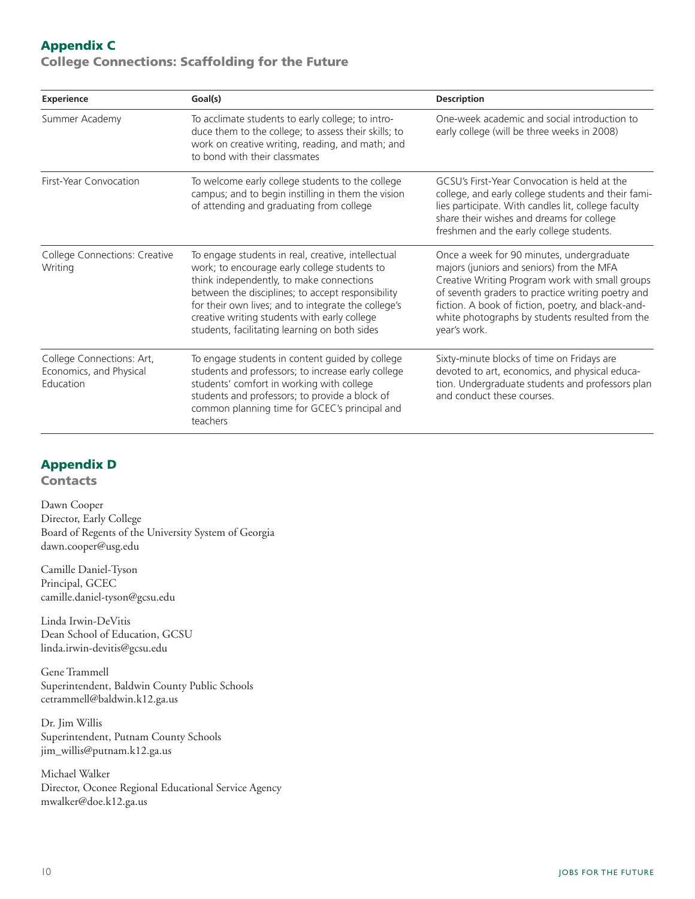# **Appendix C**

### **College Connections: Scaffolding for the Future**

| <b>Experience</b>                                                 | Goal(s)                                                                                                                                                                                                                                                                                                                                                     | <b>Description</b>                                                                                                                                                                                                                                                                                                      |
|-------------------------------------------------------------------|-------------------------------------------------------------------------------------------------------------------------------------------------------------------------------------------------------------------------------------------------------------------------------------------------------------------------------------------------------------|-------------------------------------------------------------------------------------------------------------------------------------------------------------------------------------------------------------------------------------------------------------------------------------------------------------------------|
| Summer Academy                                                    | To acclimate students to early college; to intro-<br>duce them to the college; to assess their skills; to<br>work on creative writing, reading, and math; and<br>to bond with their classmates                                                                                                                                                              | One-week academic and social introduction to<br>early college (will be three weeks in 2008)                                                                                                                                                                                                                             |
| First-Year Convocation                                            | To welcome early college students to the college<br>campus; and to begin instilling in them the vision<br>of attending and graduating from college                                                                                                                                                                                                          | GCSU's First-Year Convocation is held at the<br>college, and early college students and their fami-<br>lies participate. With candles lit, college faculty<br>share their wishes and dreams for college<br>freshmen and the early college students.                                                                     |
| <b>College Connections: Creative</b><br>Writing                   | To engage students in real, creative, intellectual<br>work; to encourage early college students to<br>think independently, to make connections<br>between the disciplines; to accept responsibility<br>for their own lives; and to integrate the college's<br>creative writing students with early college<br>students, facilitating learning on both sides | Once a week for 90 minutes, undergraduate<br>majors (juniors and seniors) from the MFA<br>Creative Writing Program work with small groups<br>of seventh graders to practice writing poetry and<br>fiction. A book of fiction, poetry, and black-and-<br>white photographs by students resulted from the<br>year's work. |
| College Connections: Art,<br>Economics, and Physical<br>Education | To engage students in content guided by college<br>students and professors; to increase early college<br>students' comfort in working with college<br>students and professors; to provide a block of<br>common planning time for GCEC's principal and<br>teachers                                                                                           | Sixty-minute blocks of time on Fridays are<br>devoted to art, economics, and physical educa-<br>tion. Undergraduate students and professors plan<br>and conduct these courses.                                                                                                                                          |

# **Appendix D**

**Contacts**

Dawn Cooper Director, Early College Board of Regents of the University System of Georgia dawn.cooper@usg.edu

Camille Daniel-Tyson Principal, GCEC camille.daniel-tyson@gcsu.edu

Linda Irwin-DeVitis Dean School of Education, GCSU linda.irwin-devitis@gcsu.edu

Gene Trammell Superintendent, Baldwin County Public Schools cetrammell@baldwin.k12.ga.us

Dr. Jim Willis Superintendent, Putnam County Schools jim\_willis@putnam.k12.ga.us

Michael Walker Director, Oconee Regional Educational Service Agency mwalker@doe.k12.ga.us